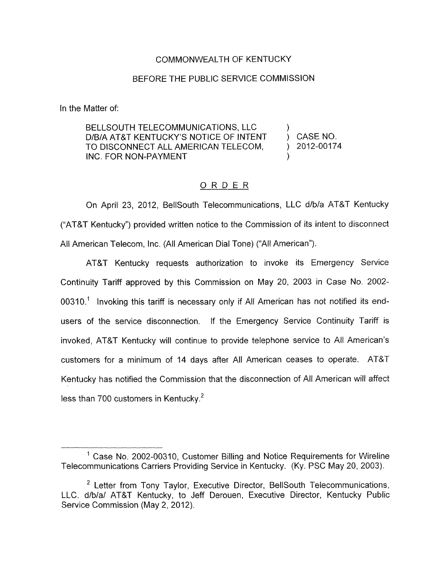## COMMONWEALTH OF KENTUCKY

## BEFORE THE PUBLIC SERVICE COMMISSION

In the Matter of:

BELLSOUTH TELECOMMUNICATIONS, LLC  $D/B/A$  at at Kentucky's notice of intent  $\longrightarrow$  case no. INC. FOR NON-PAYMENT D/B/A AT&T KENTUCKY'S NOTICE OF INTENT (CASE NO.<br>TO DISCONNECT ALL AMERICAN TELECOM. (2012-00174 TO DISCONNECT ALL AMERICAN TELECOM,

## ORDER

On April 23, 2012, BellSouth Telecommunications, LLC d/b/a AT&T Kentucky ("AT&T Kentucky") provided written notice to the Commission of its intent to disconnect All American Telecom, lnc. (All American Dial Tone) ("All American").

AT&T Kentucky requests authorization to invoke its Emergency Service Continuity Tariff approved by this Commission on May 20, 2003 in Case No. 2002- 00310.' Invoking this tariff is necessary only if All American has not notified its endusers of the service disconnection. If the Emergency Service Continuity Tariff is invoked, AT&T Kentucky will continue to provide telephone service to All American's customers for a minimum of 14 days after All American ceases to operate. AT87 Kentucky has notified the Commission that the disconnection of All American will affect less than 700 customers in Kentucky. $2$ 

 $<sup>1</sup>$  Case No. 2002-00310, Customer Billing and Notice Requirements for Wireline</sup> Telecommunications Carriers Providing Service in Kentucky. (Ky. PSC May 20, 2003).

Letter from Tony Taylor, Executive Director, BellSouth Telecommunications, **2** LLC. d/b/a/ AT&T Kentucky, to Jeff Derouen, Executive Director, Kentucky Public Service Commission (May 2, 2012).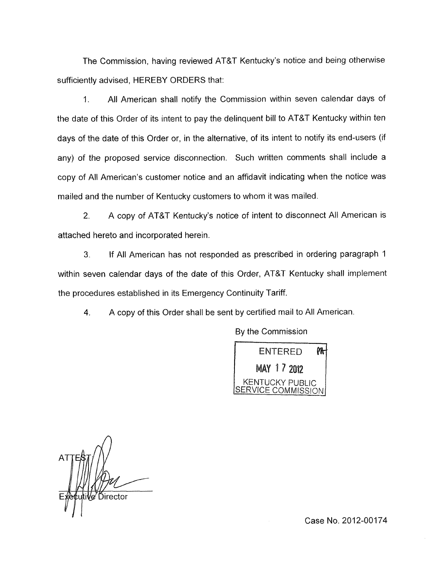The Commission, having reviewed AT&T Kentucky's notice and being otherwise sufficiently advised, HEREBY ORDERS that:

1. All American shall notify the Commission within seven calendar days of the date of this Order of its intent to pay the delinquent bill to AT&T Kentucky within ten days of the date of this Order or, in the alternative, of its intent to notify its end-users (if any) of the proposed service disconnection. Such written comments shall include a copy of All American's customer notice and an affidavit indicating when the notice was mailed and the number of Kentucky customers to whom it was mailed.

2. A copy of AT&T Kentucky's notice of intent to disconnect All American is attached hereto and incorporated herein.

**3.** If All American has not responded as prescribed in ordering paragraph 1 within seven calendar days of the date of this Order, AT&T Kentucky shall implement the procedures established in its Emergency Continuity Tariff.

4. A copy of this Order shall be sent by certified mail to All American.

By the Commission



/e∕ Director

Case No. 2012-00174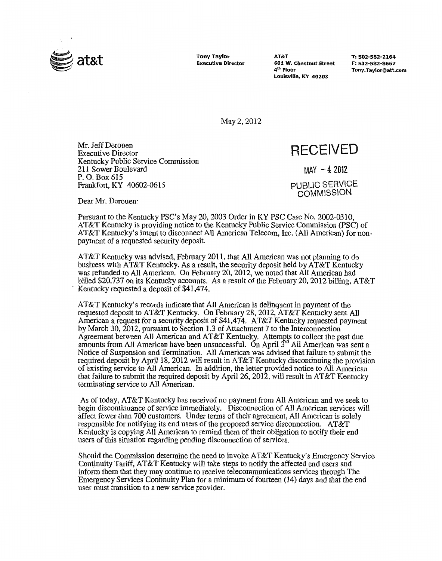

**Tony Taylor AT&T T: 502-582-2164 Example 101 W. Chestnut Street F: 502-582-8667 4<sup>th</sup> Floor Louisville, KY 40203** 

**4\* Floor [Tony.Taylor@att.com](mailto:Tony.Taylor@att.com)** 

May 2,2012

Mr. Jeff Derouen Executive Director Kentucky Public Service Commission 21 1 Sower Boulevard P. *0.* **Box** 615 Frankfort, **KY** 40602-06 **15** 

## **RECEIVED**

MAY **-4** 2012

PUBLIC SERVICE **COMMISSION** 

Dear Mr. Derouen:

Pursuant to the Kentucky **PSC's** May 20, 2003 Order in KY PSC Case No. 2002-0310, AT&T Kentucky is providing notice to the Kentucky Public Service Commission **(PSC)** of AT&T Kentucky's intent to disconnect All American Telecom, Inc. (All American) for nonpayment of a requested security deposit.

AT&T Kentucky was advised, February 201 1, that All American was not planning to do business with AT&T Kentucky. As a result, the security deposit held by AT&T Kentucky was refunded to All American. On February 20,2012, we noted that All American had billed \$20,737 on its Kentucky accounts. As a result of the February 20,2012 billing, AT&T Kentucky requested a deposit of \$41,474.

AT&T Kentucky's records indicate that All American is delinquent in payment of the requested deposit to AT&T Kentucky. On February 28,2012, AT&T Kentucky sent All American a request for a security deposit of \$41,474. AT&T Kentucky requested payment by March 30,2012, pursuant to Section 1.3 of Attachment 7 **to** the Interconnection Agreement between All American and  $AT&T$  Kentucky. Attempts to collect the past due amounts from All American have been unsuccessful. On April 3<sup>rd</sup> All American was sent a Notice of Suspension and Termination. A11 American was advised that failure to submit the required deposit by April 18, 2012 will result in AT&T Kentucky discontinuing the provision of existing service to All American. In addition, the letter provided notice to All American that failure to submit the required deposit by April 26,2012, will result in AT&T Kentucky terminating service to All American.

As of today, AT&T Kentucky has received no payment from All American and we seek to begin discontinuance of service immediately. Disconnection of All American services **will**  affect fewer than 700 customers. Under terms of their agreement, All American is solely responsible for notifying its end users of the proposed service disconnection. AT&T Kentucky is copying All American to remind them of their obligation to notify their end users of this situation regarding pending disconnection of services.

Should the Commission determine the need to invoke AT&T Kentucky's Emergency Service Continuity Tariff, AT&T Kentucky will take steps to notify the affected end users and inform them that they may continue to receive telecommunications services through The Emergency Services Continuity Plan for a minimum of fourteen (14) days and that the end user must transition to a new service provider.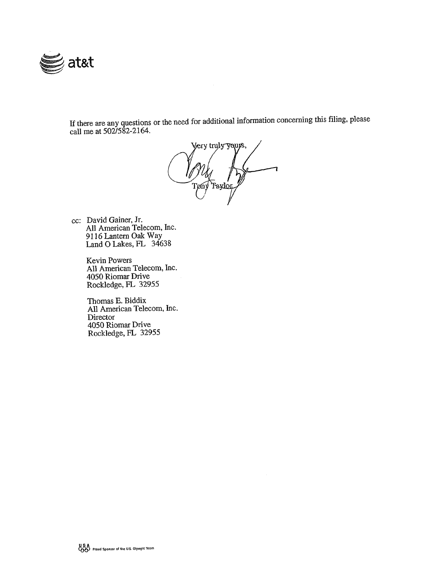

If there are any questions or the need for additional information cancerning this filing, please call me at 502/582-2164.

Very truly yours, Tønv .<br>Taylor

cc: David Gainer, Jr. All American Telecom, Inc. 91 16 Lantern *Oak* Way Land 0 Lakes, **FL** <sup>34638</sup>

> Kevin Powers All American Telecom, Inc. 4050 Riomar Drive Rockledge, **FL** 32955

Thomas E. Biddix All American Telecom, Inc. Director 4050 Riomar Drive Rockledge, FL 32955